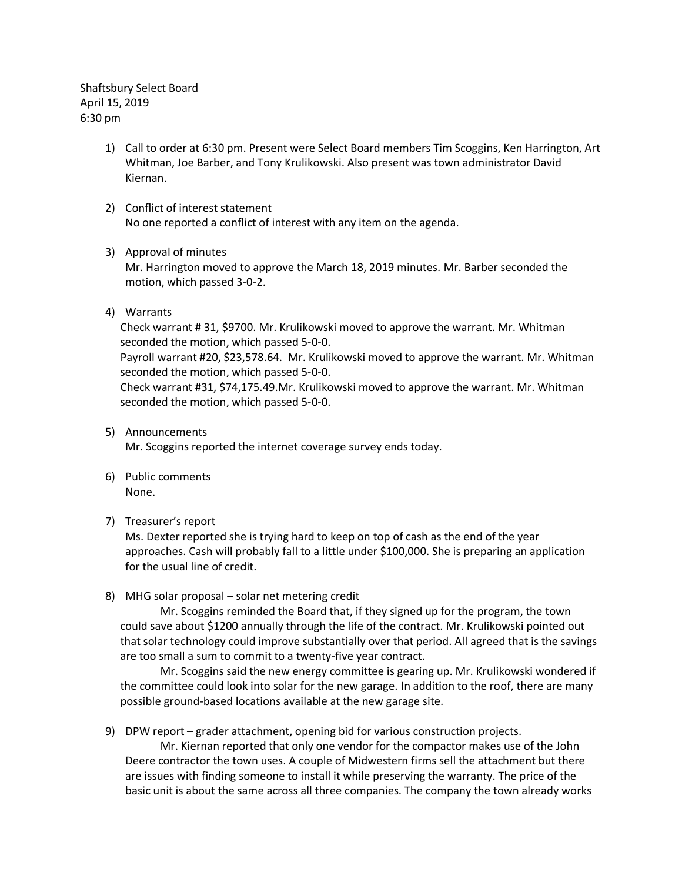Shaftsbury Select Board April 15, 2019 6:30 pm

- 1) Call to order at 6:30 pm. Present were Select Board members Tim Scoggins, Ken Harrington, Art Whitman, Joe Barber, and Tony Krulikowski. Also present was town administrator David Kiernan.
- 2) Conflict of interest statement No one reported a conflict of interest with any item on the agenda.

# 3) Approval of minutes

Mr. Harrington moved to approve the March 18, 2019 minutes. Mr. Barber seconded the motion, which passed 3-0-2.

4) Warrants

Check warrant # 31, \$9700. Mr. Krulikowski moved to approve the warrant. Mr. Whitman seconded the motion, which passed 5-0-0.

Payroll warrant #20, \$23,578.64. Mr. Krulikowski moved to approve the warrant. Mr. Whitman seconded the motion, which passed 5-0-0.

Check warrant #31, \$74,175.49.Mr. Krulikowski moved to approve the warrant. Mr. Whitman seconded the motion, which passed 5-0-0.

5) Announcements

Mr. Scoggins reported the internet coverage survey ends today.

- 6) Public comments None.
- 7) Treasurer's report

Ms. Dexter reported she is trying hard to keep on top of cash as the end of the year approaches. Cash will probably fall to a little under \$100,000. She is preparing an application for the usual line of credit.

8) MHG solar proposal – solar net metering credit

Mr. Scoggins reminded the Board that, if they signed up for the program, the town could save about \$1200 annually through the life of the contract. Mr. Krulikowski pointed out that solar technology could improve substantially over that period. All agreed that is the savings are too small a sum to commit to a twenty-five year contract.

Mr. Scoggins said the new energy committee is gearing up. Mr. Krulikowski wondered if the committee could look into solar for the new garage. In addition to the roof, there are many possible ground-based locations available at the new garage site.

9) DPW report – grader attachment, opening bid for various construction projects.

Mr. Kiernan reported that only one vendor for the compactor makes use of the John Deere contractor the town uses. A couple of Midwestern firms sell the attachment but there are issues with finding someone to install it while preserving the warranty. The price of the basic unit is about the same across all three companies. The company the town already works